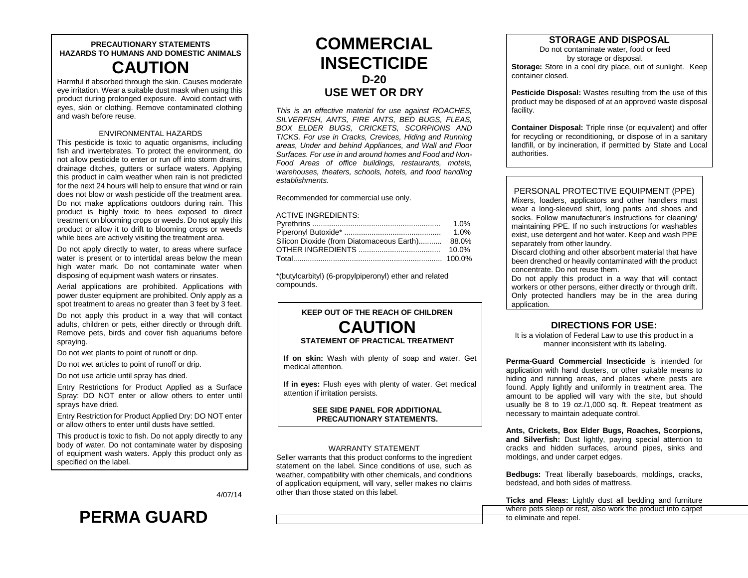## **PRECAUTIONARY STATEMENTS HAZARDS TO HUMANS AND DOMESTIC ANIMALS CAUTION**

Harmful if absorbed through the skin. Causes moderate eye irritation. Wear a suitable dust mask when using this product during prolonged exposure. Avoid contact with eyes, skin or clothing. Remove contaminated clothing and wash before reuse.

#### ENVIRONMENTAL HAZARDS

This pesticide is toxic to aquatic organisms, including fish and invertebrates. To protect the environment, do not allow pesticide to enter or run off into storm drains, drainage ditches, gutters or surface waters. Applying this product in calm weather when rain is not predicted for the next 24 hours will help to ensure that wind or rain does not blow or wash pesticide off the treatment area. Do not make applications outdoors during rain. This product is highly toxic to bees exposed to direct treatment on blooming crops or weeds. Do not apply this product or allow it to drift to blooming crops or weeds while bees are actively visiting the treatment area.

Do not apply directly to water, to areas where surface water is present or to intertidal areas below the mean high water mark. Do not contaminate water when disposing of equipment wash waters or rinsates.

Aerial applications are prohibited. Applications with power duster equipment are prohibited. Only apply as a spot treatment to areas no greater than 3 feet by 3 feet.

Do not apply this product in a way that will contact adults, children or pets, either directly or through drift. Remove pets, birds and cover fish aquariums before spraying.

Do not wet plants to point of runoff or drip.

Do not wet articles to point of runoff or drip.

Do not use article until spray has dried.

Entry Restrictions for Product Applied as a Surface Spray: DO NOT enter or allow others to enter until sprays have dried.

Entry Restriction for Product Applied Dry: DO NOT enter or allow others to enter until dusts have settled.

This product is toxic to fish. Do not apply directly to any body of water. Do not contaminate water by disposing of equipment wash waters. Apply this product only as specified on the label.

4/07/14

# **PERMA GUARD**

## **COMMERCIAL INSECTICIDE D-20 USE WET OR DRY**

*This is an effective material for use against ROACHES, SILVERFISH, ANTS, FIRE ANTS, BED BUGS, FLEAS, BOX ELDER BUGS, CRICKETS, SCORPIONS AND TICKS. For use in Cracks, Crevices, Hiding and Running areas, Under and behind Appliances, and Wall and Floor Surfaces. For use in and around homes and Food and Non-Food Areas of office buildings, restaurants, motels, warehouses, theaters, schools, hotels, and food handling establishments.*

Recommended for commercial use only.

#### ACTIVE INGREDIENTS:

|                                                 | 1.0%    |
|-------------------------------------------------|---------|
|                                                 | $1.0\%$ |
| Silicon Dioxide (from Diatomaceous Earth) 88.0% |         |
|                                                 | 10.0%   |
|                                                 |         |

\*(butylcarbityl) (6-propylpiperonyl) ether and related compounds.

## **KEEP OUT OF THE REACH OF CHILDREN CAUTION STATEMENT OF PRACTICAL TREATMENT**

**If on skin:** Wash with plenty of soap and water. Get medical attention.

**If in eyes:** Flush eyes with plenty of water. Get medical attention if irritation persists.

#### **SEE SIDE PANEL FOR ADDITIONAL PRECAUTIONARY STATEMENTS.**

#### WARRANTY STATEMENT

Seller warrants that this product conforms to the ingredient statement on the label. Since conditions of use, such as weather, compatibility with other chemicals, and conditions of application equipment, will vary, seller makes no claims other than those stated on this label.

## **STORAGE AND DISPOSAL**

Do not contaminate water, food or feed by storage or disposal. **Storage:** Store in a cool dry place, out of sunlight. Keep container closed.

**Pesticide Disposal:** Wastes resulting from the use of this product may be disposed of at an approved waste disposal facility.

**Container Disposal:** Triple rinse (or equivalent) and offer for recycling or reconditioning, or dispose of in a sanitary landfill, or by incineration, if permitted by State and Local authorities.

#### PERSONAL PROTECTIVE EQUIPMENT (PPE)

Mixers, loaders, applicators and other handlers must wear a long-sleeved shirt, long pants and shoes and socks. Follow manufacturer's instructions for cleaning/ maintaining PPE. If no such instructions for washables exist, use detergent and hot water. Keep and wash PPE separately from other laundry.

Discard clothing and other absorbent material that have been drenched or heavily contaminated with the product concentrate. Do not reuse them.

Do not apply this product in a way that will contact workers or other persons, either directly or through drift. Only protected handlers may be in the area during application.

### **DIRECTIONS FOR USE:**

It is a violation of Federal Law to use this product in a manner inconsistent with its labeling.

**Perma-Guard Commercial Insecticide** is intended for application with hand dusters, or other suitable means to hiding and running areas, and places where pests are found. Apply lightly and uniformly in treatment area. The amount to be applied will vary with the site, but should usually be 8 to 19 oz./1,000 sq. ft. Repeat treatment as necessary to maintain adequate control.

**Ants, Crickets, Box Elder Bugs, Roaches, Scorpions, and Silverfish:** Dust lightly, paying special attention to cracks and hidden surfaces, around pipes, sinks and moldings, and under carpet edges.

**Bedbugs:** Treat liberally baseboards, moldings, cracks, bedstead, and both sides of mattress.

**Ticks and Fleas:** Lightly dust all bedding and furniture where pets sleep or rest, also work the product into carpet to eliminate and repel.